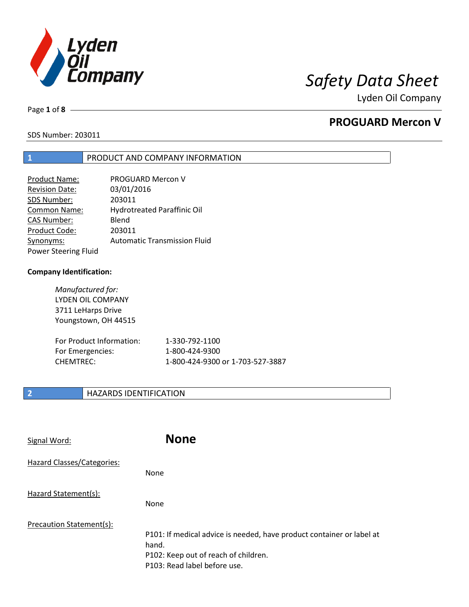

Page **1** of **8**

## **PROGUARD Mercon V**

SDS Number: 203011

### **1** PRODUCT AND COMPANY INFORMATION

| Product Name:               | <b>PROGUARD Mercon V</b>            |
|-----------------------------|-------------------------------------|
| <b>Revision Date:</b>       | 03/01/2016                          |
| SDS Number:                 | 203011                              |
| Common Name:                | Hydrotreated Paraffinic Oil         |
| <b>CAS Number:</b>          | Blend                               |
| Product Code:               | 203011                              |
| Synonyms:                   | <b>Automatic Transmission Fluid</b> |
| <b>Power Steering Fluid</b> |                                     |

### **Company Identification:**

*Manufactured for:* LYDEN OIL COMPANY 3711 LeHarps Drive Youngstown, OH 44515

| For Product Information: | 1-330-792-1100                   |
|--------------------------|----------------------------------|
| For Emergencies:         | 1-800-424-9300                   |
| CHEMTREC:                | 1-800-424-9300 or 1-703-527-3887 |

### **2 HAZARDS IDENTIFICATION**

| Signal Word:                      | <b>None</b>                                                                                                                                            |
|-----------------------------------|--------------------------------------------------------------------------------------------------------------------------------------------------------|
| <b>Hazard Classes/Categories:</b> | None                                                                                                                                                   |
| Hazard Statement(s):              | None                                                                                                                                                   |
| Precaution Statement(s):          | P101: If medical advice is needed, have product container or label at<br>hand.<br>P102: Keep out of reach of children.<br>P103: Read label before use. |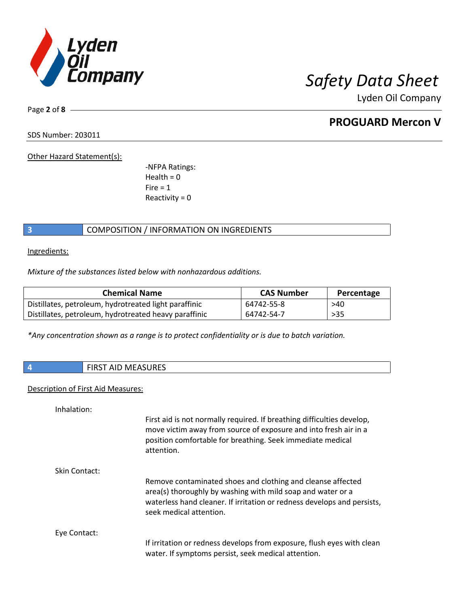

Page **2** of **8**

## **PROGUARD Mercon V**

SDS Number: 203011

Other Hazard Statement(s):

-NFPA Ratings:  $Health = 0$  $Fire = 1$ Reactivity  $= 0$ 

### **3** COMPOSITION / INFORMATION ON INGREDIENTS

Ingredients:

*Mixture of the substances listed below with nonhazardous additions.*

| <b>Chemical Name</b>                                  | <b>CAS Number</b> | Percentage |
|-------------------------------------------------------|-------------------|------------|
| Distillates, petroleum, hydrotreated light paraffinic | 64742-55-8        | >40        |
| Distillates, petroleum, hydrotreated heavy paraffinic | 64742-54-7        | $>35$      |

*\*Any concentration shown as a range is to protect confidentiality or is due to batch variation.*

| <b>FIRST AID MEASURES</b><br>___ |
|----------------------------------|
|----------------------------------|

### Description of First Aid Measures:

Inhalation:

|               | First aid is not normally required. If breathing difficulties develop,<br>move victim away from source of exposure and into fresh air in a<br>position comfortable for breathing. Seek immediate medical<br>attention.           |
|---------------|----------------------------------------------------------------------------------------------------------------------------------------------------------------------------------------------------------------------------------|
| Skin Contact: |                                                                                                                                                                                                                                  |
|               | Remove contaminated shoes and clothing and cleanse affected<br>area(s) thoroughly by washing with mild soap and water or a<br>waterless hand cleaner. If irritation or redness develops and persists,<br>seek medical attention. |
| Eye Contact:  |                                                                                                                                                                                                                                  |
|               | If irritation or redness develops from exposure, flush eyes with clean<br>water. If symptoms persist, seek medical attention.                                                                                                    |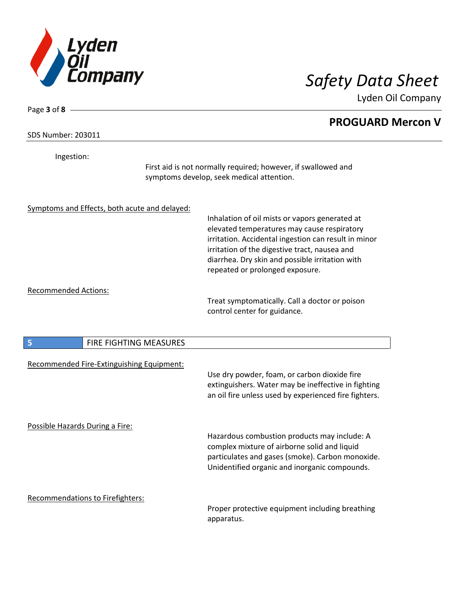

Page **3** of **8**

Lyden Oil Company

# **PROGUARD Mercon V** SDS Number: 203011 Ingestion: First aid is not normally required; however, if swallowed and symptoms develop, seek medical attention. Symptoms and Effects, both acute and delayed: Inhalation of oil mists or vapors generated at elevated temperatures may cause respiratory irritation. Accidental ingestion can result in minor irritation of the digestive tract, nausea and diarrhea. Dry skin and possible irritation with repeated or prolonged exposure. Recommended Actions: Treat symptomatically. Call a doctor or poison control center for guidance. **5** FIRE FIGHTING MEASURES Recommended Fire-Extinguishing Equipment: Use dry powder, foam, or carbon dioxide fire extinguishers. Water may be ineffective in fighting an oil fire unless used by experienced fire fighters. Possible Hazards During a Fire: Hazardous combustion products may include: A complex mixture of airborne solid and liquid particulates and gases (smoke). Carbon monoxide. Unidentified organic and inorganic compounds. Recommendations to Firefighters: Proper protective equipment including breathing apparatus.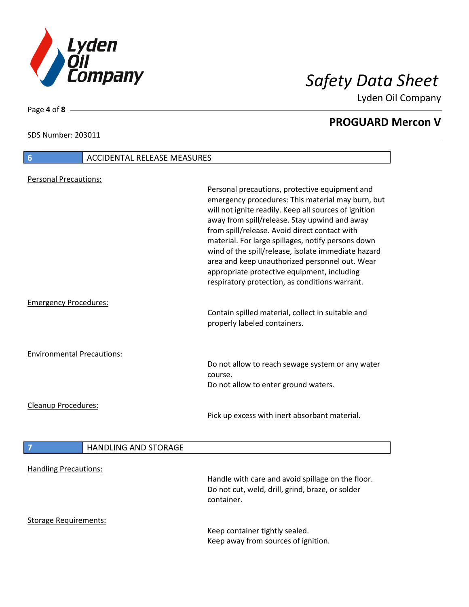

**PROGUARD Mercon V**

### SDS Number: 203011

# **6** ACCIDENTAL RELEASE MEASURES Personal Precautions: Personal precautions, protective equipment and emergency procedures: This material may burn, but will not ignite readily. Keep all sources of ignition away from spill/release. Stay upwind and away from spill/release. Avoid direct contact with material. For large spillages, notify persons down wind of the spill/release, isolate immediate hazard area and keep unauthorized personnel out. Wear appropriate protective equipment, including respiratory protection, as conditions warrant. Emergency Procedures: Contain spilled material, collect in suitable and properly labeled containers. Environmental Precautions: Do not allow to reach sewage system or any water course. Do not allow to enter ground waters. Cleanup Procedures: Pick up excess with inert absorbant material. **7 HANDLING AND STORAGE** Handling Precautions: Handle with care and avoid spillage on the floor. Do not cut, weld, drill, grind, braze, or solder container. Storage Requirements:

Keep container tightly sealed. Keep away from sources of ignition.

Page **4** of **8**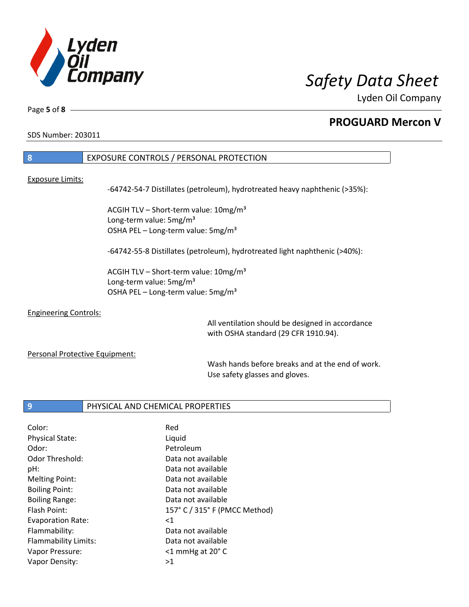

Page **5** of **8**

## **PROGUARD Mercon V**

SDS Number: 203011

| <b>8</b>         | EXPOSURE CONTROLS / PERSONAL PROTECTION                                    |
|------------------|----------------------------------------------------------------------------|
|                  |                                                                            |
| Exposure Limits: |                                                                            |
|                  | -64742-54-7 Distillates (petroleum), hydrotreated heavy naphthenic (>35%): |
|                  |                                                                            |
|                  | ACGIH TLV - Short-term value: 10mg/m <sup>3</sup>                          |
|                  | Long-term value: 5mg/m <sup>3</sup>                                        |
|                  | OSHA PEL - Long-term value: 5mg/m <sup>3</sup>                             |
|                  |                                                                            |
|                  | -64742-55-8 Distillates (petroleum), hydrotreated light naphthenic (>40%): |

ACGIH TLV - Short-term value: 10mg/m<sup>3</sup> Long-term value: 5mg/m<sup>3</sup> OSHA PEL - Long-term value: 5mg/m<sup>3</sup>

### Engineering Controls:

All ventilation should be designed in accordance with OSHA standard (29 CFR 1910.94).

### Personal Protective Equipment:

Wash hands before breaks and at the end of work. Use safety glasses and gloves.

### **9** PHYSICAL AND CHEMICAL PROPERTIES

| Color:                   | Red                           |
|--------------------------|-------------------------------|
| <b>Physical State:</b>   | Liquid                        |
| Odor:                    | Petroleum                     |
| Odor Threshold:          | Data not available            |
| pH:                      | Data not available            |
| <b>Melting Point:</b>    | Data not available            |
| <b>Boiling Point:</b>    | Data not available            |
| <b>Boiling Range:</b>    | Data not available            |
| Flash Point:             | 157° C / 315° F (PMCC Method) |
| <b>Evaporation Rate:</b> | $<$ 1                         |
| Flammability:            | Data not available            |
| Flammability Limits:     | Data not available            |
| Vapor Pressure:          | $<$ 1 mmHg at 20 $^{\circ}$ C |
| Vapor Density:           | >1                            |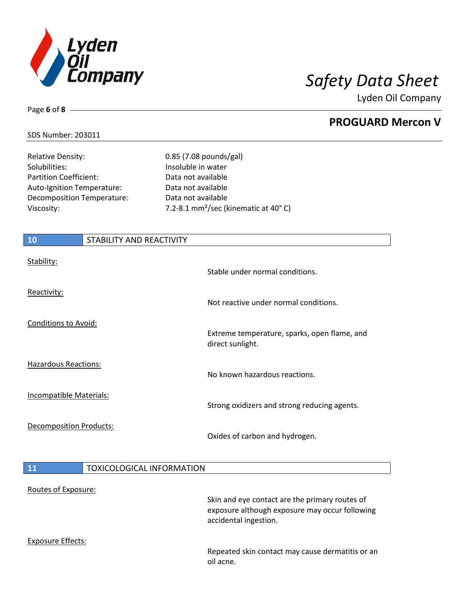

**PROGUARD Mercon V**

### SDS Number: 203011

Page **6** of **8**

| <b>Relative Density:</b>      | 0.85 (7.08 pounds/gal)                           |
|-------------------------------|--------------------------------------------------|
| Solubilities:                 | Insoluble in water                               |
| <b>Partition Coefficient:</b> | Data not available                               |
| Auto-Ignition Temperature:    | Data not available                               |
| Decomposition Temperature:    | Data not available                               |
| Viscosity:                    | 7.2-8.1 mm <sup>2</sup> /sec (kinematic at 40°C) |
|                               |                                                  |

# **10** STABILITY AND REACTIVITY Stability: Stable under normal conditions. Reactivity: Not reactive under normal conditions. Conditions to Avoid: Extreme temperature, sparks, open flame, and direct sunlight. Hazardous Reactions: No known hazardous reactions. Incompatible Materials: Strong oxidizers and strong reducing agents. Decomposition Products: Oxides of carbon and hydrogen. **11 TOXICOLOGICAL INFORMATION** Routes of Exposure: Skin and eye contact are the primary routes of exposure although exposure may occur following accidental ingestion. Exposure Effects: Repeated skin contact may cause dermatitis or an oil acne.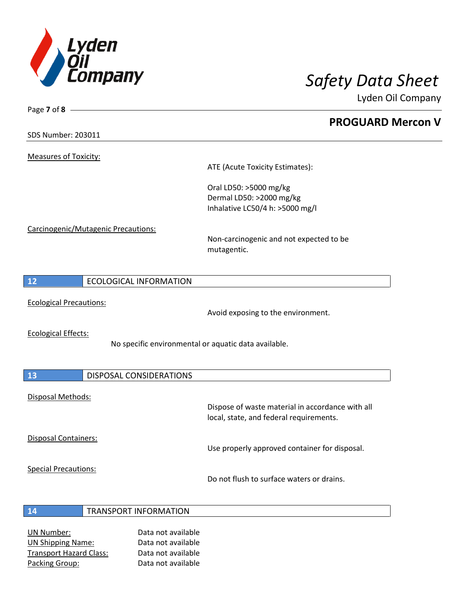

**PROGUARD Mercon V**

SDS Number: 203011

Page **7** of **8**

Measures of Toxicity:

ATE (Acute Toxicity Estimates):

Oral LD50: >5000 mg/kg Dermal LD50: >2000 mg/kg Inhalative LC50/4 h: >5000 mg/l

Carcinogenic/Mutagenic Precautions:

Non-carcinogenic and not expected to be mutagentic.

| 12 | ECOLOGICAL INFORMATION |
|----|------------------------|

Ecological Precautions:

Avoid exposing to the environment.

Ecological Effects:

Г

No specific environmental or aquatic data available.

| 13                          | <b>DISPOSAL CONSIDERATIONS</b> |                                                                                             |
|-----------------------------|--------------------------------|---------------------------------------------------------------------------------------------|
| Disposal Methods:           |                                | Dispose of waste material in accordance with all<br>local, state, and federal requirements. |
| <b>Disposal Containers:</b> |                                | Use properly approved container for disposal.                                               |
| <b>Special Precautions:</b> |                                | Do not flush to surface waters or drains.                                                   |

### **14** TRANSPORT INFORMATION

UN Number: Data not available UN Shipping Name: Data not available Transport Hazard Class: Data not available Packing Group: Data not available